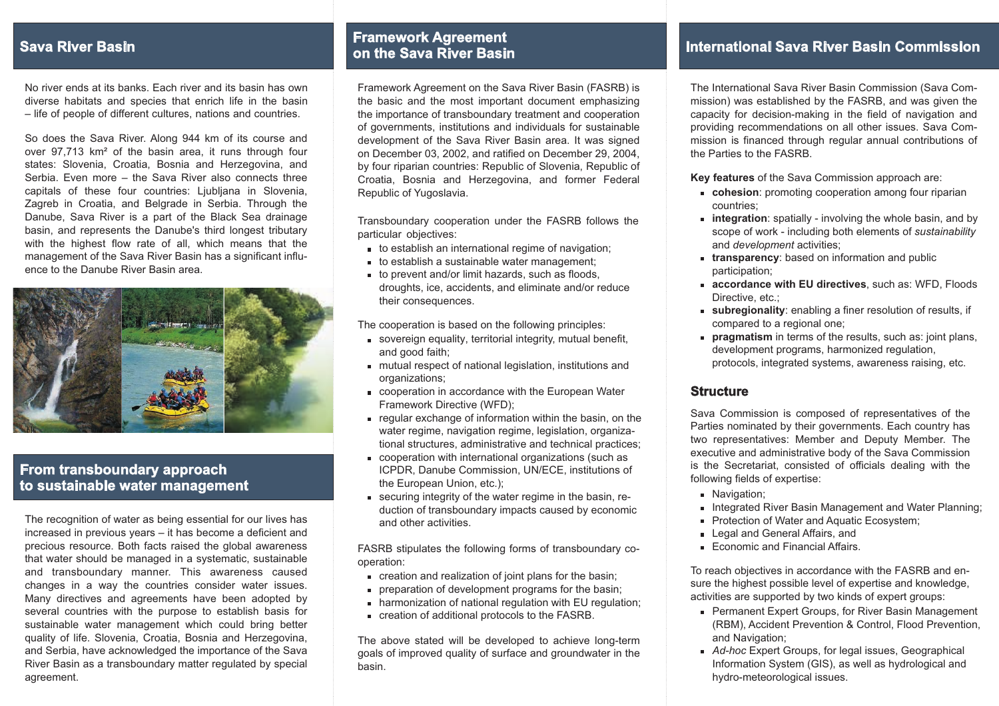# **Sava River Basin**

No river ends at its banks. Each river and its basin has owndiverse habitats and species that enrich life in the basin – life of people of different cultures, nations and countries.

So does the Sava River. Along 944 km of its course and over 97,713 km<sup>2</sup> of the basin area, it runs through four states: Slovenia, Croatia, Bosnia and Herzegovina, andSerbia. Even more – the Sava River also connects three capitals of these four countries: Ljubljana in Slovenia, Zagreb in Croatia, and Belgrade in Serbia. Through the Danube, Sava River is a part of the Black Sea drainage basin, and represents the Danube's third longest tributary with the highest flow rate of all, which means that the management of the Sava River Basin has a significant influence to the Danube River Basin area.



## **From transboundary approachto sustainable water management**

The recognition of water as being essential for our lives has increased in previous years – it has become <sup>a</sup> deficient andprecious resource. Both facts raised the global awareness that water should be managed in a systematic, sustainable and transboundary manner. This awareness caused changes in a way the countries consider water issues. Many directives and agreements have been adopted by several countries with the purpose to establish basis for sustainable water management which could bring better quality of life. Slovenia, Croatia, Bosnia and Herzegovina, and Serbia, have acknowledged the importance of the Sava River Basin as a transboundary matter regulated by special agreement.

## **Framework Agreemento n the Sava River Basin**

Framework Agreement on the Sava River Basin (FASRB) i sthe basic and the most important document emphasiz ing the importance of transboundary treatment and cooperatio nof governments, institutions and individuals for sustainable development of the Sava River Basin area. It was signed on December 03, 2002, and ratified on December 29, 2004, by four riparian countries: Republic of Slovenia, Republic of Croatia, Bosnia and Herzegovina, and former Federal Republic of Yugoslavi a.

Transboundary cooperation under the FASRB follows the particular objectives:

- to establish an international regime of navigation;
- to establish a sustainable water management;
- to prevent and/or limit hazards, such as floods, droughts, ice, accidents, and eliminate and/or reducetheir consequences.

The cooperation is based on the following principles:

- sovereign equality, territorial integrity, mutual benefit,and good faith;
- mutual respect of national legislation, institutions andorganizations;
- cooperation in accordance with the European WaterFramework Directive (WFD);
- regular exchange of information within the basin, on the water regime, navigation regime, legislation, organiza tional structures, administrative and technical practices ;
- cooperation with international organizations (such as ICPDR, Danube Commission, UN/ECE, institutions ofthe European Union, etc.);
- securing integrity of the water regime in the basin, re duction of transboundary impacts caused by economicand other activities.

FASRB stipulates the following forms of transboundary cooperation:

- creation and realization of joint plans for the basin;
- preparation of development programs for the basin;
- harmonization of national regulation with EU regulation;
- creation of additional protocols to the FASRB.

The above stated will be developed to achieve long-term goals of improved quality of surface and groundwater in thebasin.

# **International Sava River Basin Commission**

The International Sava River Basin Commission (Sava Commission) was established by the FASRB, and was given the capacity for decision-making in the field of navigation and providing recommendations on all other issues. Sava Com mission is financed through regular annual contributions of the Parties to the FASRB.

**Key features** of the Sava Commission approach are:

- **cohesion**: promoting cooperation among four ripariancountries;
- **integration** : spatially involving the whole basin, and byscope of work - including both elements of *sustainability* and *development* activities;
- **ransparency**: based on information and public **t**participation;
- **accordance with EU directives** , such as: WFD, FloodsDirective, etc.:
- subregionality: enabling a finer resolution of results, if compared to a regional one;
- pragmatism in terms of the results, such as: joint plans, development programs, harmonized regulation, protocols, integrated systems, awareness raising, etc.

#### **Structure**

Sava Commission is composed of representatives of theParties nominated by their governments. Each country has two representatives: Member and Deputy Member. The executive and administrative body of the Sava Commissionis the Secretariat, consisted of officials dealing with the following fields of expertise:

- **Navigation;**
- ntegrated River Basin Management and Water Planning;
- Protection of Water and Aquatic Ecosystem;
- Legal and General Affairs, and
- Economic and Financial Affairs.

To reach objectives in accordance with the FASRB and en sure the highest possible level of expertise and knowledge, activities are supported by two kinds of expert groups:

- Permanent Expert Groups, for River Basin Management (RBM), Accident Prevention & Control, Flood Prevention, ;and Navigation
- Ad-hoc Expert Groups, for legal issues, Geographical Information System (GIS), as well as hydrological and hydro-meteorological issues.